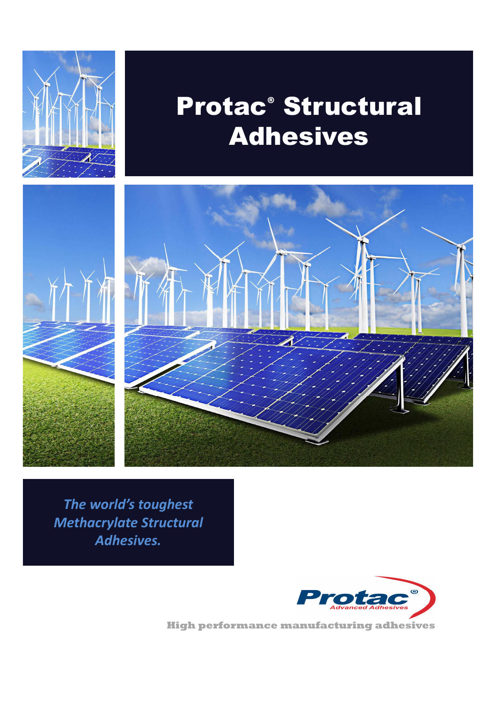

## Protac**®** Structural Adhesives



*The world's toughest Methacrylate Structural Adhesives.*



**High performance manufacturing adhesives**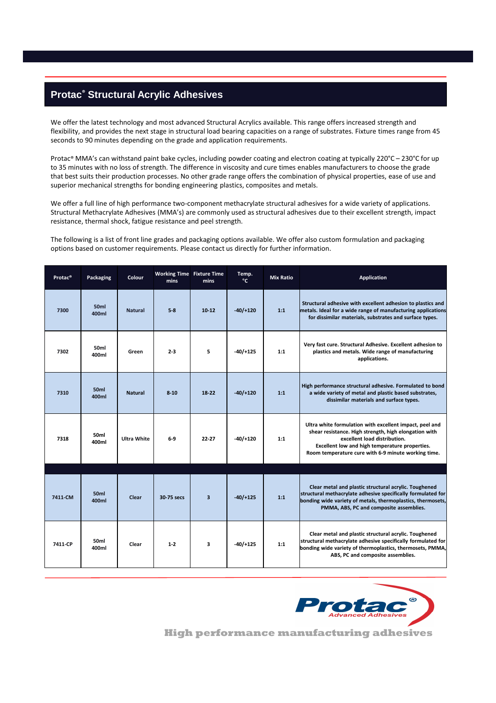## **Protac® Structural Acrylic Adhesives**

We offer the latest technology and most advanced Structural Acrylics available. This range offers increased strength and flexibility, and provides the next stage in structural load bearing capacities on a range of substrates. Fixture times range from 45 seconds to 90 minutes depending on the grade and application requirements.

Protac® MMA's can withstand paint bake cycles, including powder coating and electron coating at typically 220°C – 230°C for up to 35 minutes with no loss of strength. The difference in viscosity and cure times enables manufacturers to choose the grade that best suits their production processes. No other grade range offers the combination of physical properties, ease of use and superior mechanical strengths for bonding engineering plastics, composites and metals.

We offer a full line of high performance two-component methacrylate structural adhesives for a wide variety of applications. Structural Methacrylate Adhesives (MMA's) are commonly used as structural adhesives due to their excellent strength, impact resistance, thermal shock, fatigue resistance and peel strength.

The following is a list of front line grades and packaging options available. We offer also custom formulation and packaging options based on customer requirements. Please contact us directly for further information.

| Protac <sup>®</sup> | Packaging                 | Colour             | <b>Working Time Fixture Time</b><br>mins | mins                    | Temp.<br>°C | <b>Mix Ratio</b> | Application                                                                                                                                                                                                                                               |
|---------------------|---------------------------|--------------------|------------------------------------------|-------------------------|-------------|------------------|-----------------------------------------------------------------------------------------------------------------------------------------------------------------------------------------------------------------------------------------------------------|
| 7300                | 50 <sub>ml</sub><br>400ml | <b>Natural</b>     | $5 - 8$                                  | $10 - 12$               | $-40/+120$  | 1:1              | Structural adhesive with excellent adhesion to plastics and<br>metals. Ideal for a wide range of manufacturing applications<br>for dissimilar materials, substrates and surface types.                                                                    |
| 7302                | 50 <sub>ml</sub><br>400ml | Green              | $2 - 3$                                  | 5                       | $-40/+125$  | 1:1              | Very fast cure. Structural Adhesive. Excellent adhesion to<br>plastics and metals. Wide range of manufacturing<br>applications.                                                                                                                           |
| 7310                | 50 <sub>ml</sub><br>400ml | <b>Natural</b>     | $8 - 10$                                 | 18-22                   | $-40/+120$  | 1:1              | High performance structural adhesive. Formulated to bond<br>a wide variety of metal and plastic based substrates,<br>dissimilar materials and surface types.                                                                                              |
| 7318                | 50ml<br>400ml             | <b>Ultra White</b> | $6-9$                                    | 22-27                   | $-40/+120$  | 1:1              | Ultra white formulation with excellent impact, peel and<br>shear resistance. High strength, high elongation with<br>excellent load distribution.<br>Excellent low and high temperature properties.<br>Room temperature cure with 6-9 minute working time. |
| 7411-CM             | 50 <sub>ml</sub><br>400ml | Clear              | 30-75 secs                               | $\overline{\mathbf{3}}$ | $-40/+125$  | 1:1              | Clear metal and plastic structural acrylic. Toughened<br>structural methacrylate adhesive specifically formulated for<br>bonding wide variety of metals, thermoplastics, thermosets,<br>PMMA, ABS, PC and composite assemblies.                           |
| 7411-CP             | 50ml<br>400ml             | Clear              | $1 - 2$                                  | 3                       | $-40/+125$  | 1:1              | Clear metal and plastic structural acrylic. Toughened<br>structural methacrylate adhesive specifically formulated for<br>bonding wide variety of thermoplastics, thermosets, PMMA,<br>ABS, PC and composite assemblies.                                   |



**High performance manufacturing adhesives**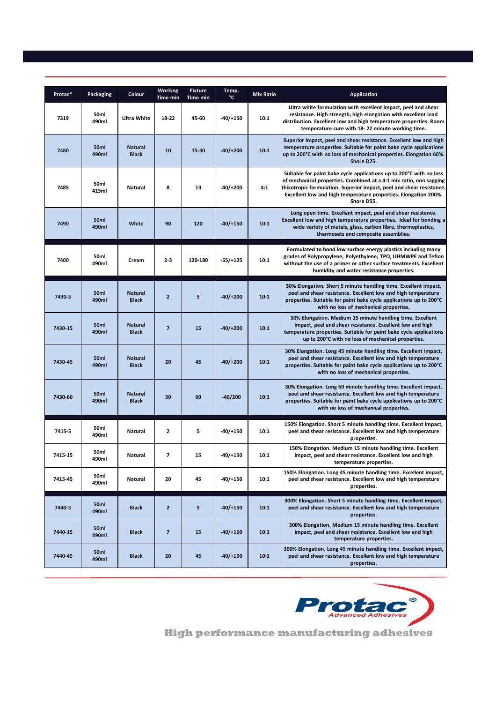| Protac <sup>®</sup> | <b>Packaging</b>          | Colour                         | Working<br><b>Time min</b> | <b>Fixture</b><br>Time min | Temp.<br>$^{\circ}$ C | <b>Mix Ratio</b> | <b>Application</b>                                                                                                                                                                                                                                                                                 |
|---------------------|---------------------------|--------------------------------|----------------------------|----------------------------|-----------------------|------------------|----------------------------------------------------------------------------------------------------------------------------------------------------------------------------------------------------------------------------------------------------------------------------------------------------|
| 7319                | 50ml<br>490ml             | <b>Ultra White</b>             | 18-22                      | 45-60                      | $-40/+150$            | 10:1             | Ultra white formulation with excellent impact, peel and shear<br>resistance. High strength, high elongation with excellent load<br>distribution. Excellent low and high temperature properties. Room<br>temperature cure with 18-22 minute working time.                                           |
| 7480                | 50ml<br>490ml             | <b>Natural</b><br><b>Black</b> | 10                         | 15-30                      | $-40/+200$            | 10:1             | Superior impact, peel and shear resistance. Excellent low and high<br>temperature properties. Suitable for paint bake cycle applications<br>up to 200°C with no loss of mechanical properties. Elongation 60%.<br>Shore D75.                                                                       |
| 7485                | 50ml<br>415ml             | Natural                        | 8                          | 13                         | $-40/+200$            | 4:1              | Suitable for paint bake cycle applications up to 200°C with no loss<br>of mechanical properties. Combined at a 4:1 mix ratio, non sagging<br>thixotropic formulation. Superior impact, peel and shear resistance.<br>Excellent low and high temperature properties. Elongation 200%.<br>Shore D55. |
| 7490                | 50ml<br>490ml             | White                          | 90                         | 120                        | $-40/+150$            | 10:1             | Long open time. Excellent impact, peel and shear resistance.<br>Excellent low and high temperature properties. Ideal for bonding a<br>wide variety of metals, glass, carbon fibre, thermoplastics,<br>thermosets and composite assemblies.                                                         |
| 7400                | 50 <sub>ml</sub><br>490ml | Cream                          | $2 - 3$                    | 120-180                    | $-55/+125$            | 10:1             | Formulated to bond low surface energy plastics including many<br>grades of Polypropylene, Polyethylene, TPO, UHMWPE and Teflon<br>without the use of a primer or other surface treatments. Excellent<br>humidity and water resistance properties.                                                  |
| 7430-5              | 50ml<br>490ml             | <b>Natural</b><br><b>Black</b> | $\overline{2}$             | 5                          | $-40/+200$            | 10:1             | 30% Elongation. Short 5 minute handling time. Excellent impact,<br>peel and shear resistance. Excellent low and high temperature<br>properties. Suitable for paint bake cycle applications up to 200°C<br>with no loss of mechanical properties.                                                   |
| 7430-15             | 50ml<br>490ml             | <b>Natural</b><br><b>Black</b> | $\overline{7}$             | 15                         | $-40/+200$            | 10:1             | 30% Elongation. Medium 15 minute handling time. Excellent<br>impact, peel and shear resistance. Excellent low and high<br>temperature properties. Suitable for paint bake cycle applications<br>up to 200°C with no loss of mechanical properties.                                                 |
| 7430-45             | 50ml<br>490ml             | <b>Natural</b><br><b>Black</b> | 20                         | 45                         | $-40/+200$            | 10:1             | 30% Elongation. Long 45 minute handling time. Excellent impact,<br>peel and shear resistance. Excellent low and high temperature<br>properties. Suitable for paint bake cycle applications up to 200°C<br>with no loss of mechanical properties.                                                   |
| 7430-60             | 50ml<br>490ml             | <b>Natural</b><br><b>Black</b> | 30                         | 60                         | $-40/200$             | 10:1             | 30% Elongation. Long 60 minute handling time. Excellent impact,<br>peel and shear resistance. Excellent low and high temperature<br>properties. Suitable for paint bake cycle applications up to 200°C<br>with no loss of mechanical properties.                                                   |
| 7415-5              | 50ml<br>490ml             | Natural                        | $\mathbf{2}$               | 5                          | $-40/+150$            | 10:1             | 150% Elongation. Short 5 minute handling time. Excellent impact,<br>peel and shear resistance. Excellent low and high temperature<br>properties.                                                                                                                                                   |
| 7415-15             | 50ml<br>490ml             | Natural                        | $\overline{\phantom{a}}$   | 15                         | $-40/+150$            | 10:1             | 150% Elongation. Medium 15 minute handling time. Excellent<br>impact, peel and shear resistance. Excellent low and high<br>temperature properties.                                                                                                                                                 |
| 7415-45             | 50ml<br>490ml             | Natural                        | 20                         | 45                         | $-40/+150$            | 10:1             | 150% Elongation. Long 45 minute handling time. Excellent impact,<br>peel and shear resistance. Excellent low and high temperature<br>properties.                                                                                                                                                   |
| 7440-5              | 50 <sub>ml</sub><br>490ml | <b>Black</b>                   | $\overline{2}$             | 5                          | $-40/+150$            | 10:1             | 300% Elongation. Short 5 minute handling time. Excellent impact,<br>peel and shear resistance. Excellent low and high temperature<br>properties.                                                                                                                                                   |
| 7440-15             | 50ml<br>490ml             | <b>Black</b>                   | $\overline{7}$             | 15                         | $-40/+150$            | 10:1             | 300% Elongation. Medium 15 minute handling time. Excellent<br>impact, peel and shear resistance. Excellent low and high<br>temperature properties.                                                                                                                                                 |
| 7440-45             | 50ml<br>490ml             | <b>Black</b>                   | 20                         | 45                         | $-40/+150$            | 10:1             | 300% Elongation. Long 45 minute handling time. Excellent impact,<br>peel and shear resistance. Excellent low and high temperature<br>properties.                                                                                                                                                   |



**High performance manufacturing adhesives**